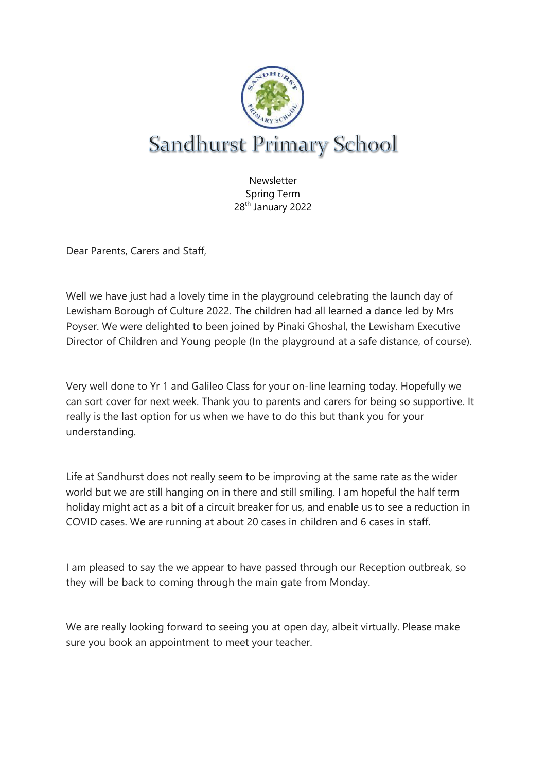

**Newsletter** Spring Term 28th January 2022

Dear Parents, Carers and Staff,

Well we have just had a lovely time in the playground celebrating the launch day of Lewisham Borough of Culture 2022. The children had all learned a dance led by Mrs Poyser. We were delighted to been joined by Pinaki Ghoshal, the Lewisham Executive Director of Children and Young people (In the playground at a safe distance, of course).

Very well done to Yr 1 and Galileo Class for your on-line learning today. Hopefully we can sort cover for next week. Thank you to parents and carers for being so supportive. It really is the last option for us when we have to do this but thank you for your understanding.

Life at Sandhurst does not really seem to be improving at the same rate as the wider world but we are still hanging on in there and still smiling. I am hopeful the half term holiday might act as a bit of a circuit breaker for us, and enable us to see a reduction in COVID cases. We are running at about 20 cases in children and 6 cases in staff.

I am pleased to say the we appear to have passed through our Reception outbreak, so they will be back to coming through the main gate from Monday.

We are really looking forward to seeing you at open day, albeit virtually. Please make sure you book an appointment to meet your teacher.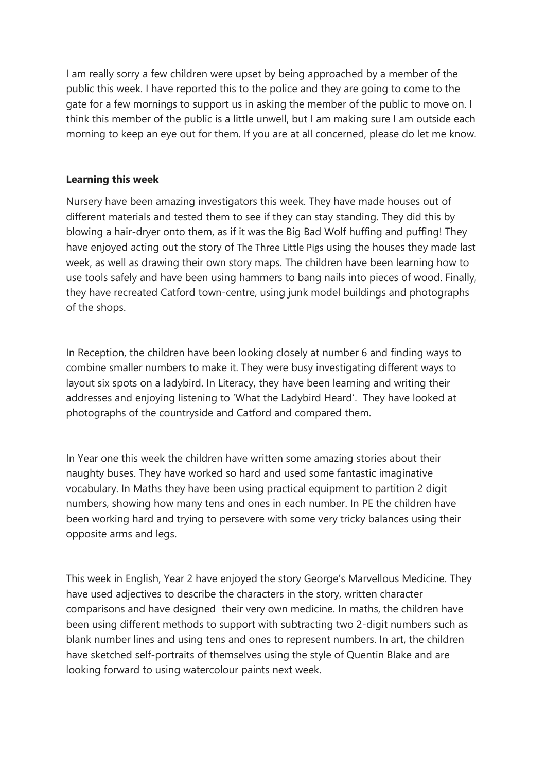I am really sorry a few children were upset by being approached by a member of the public this week. I have reported this to the police and they are going to come to the gate for a few mornings to support us in asking the member of the public to move on. I think this member of the public is a little unwell, but I am making sure I am outside each morning to keep an eye out for them. If you are at all concerned, please do let me know.

## **Learning this week**

Nursery have been amazing investigators this week. They have made houses out of different materials and tested them to see if they can stay standing. They did this by blowing a hair-dryer onto them, as if it was the Big Bad Wolf huffing and puffing! They have enjoyed acting out the story of The Three Little Pigs using the houses they made last week, as well as drawing their own story maps. The children have been learning how to use tools safely and have been using hammers to bang nails into pieces of wood. Finally, they have recreated Catford town-centre, using junk model buildings and photographs of the shops.

In Reception, the children have been looking closely at number 6 and finding ways to combine smaller numbers to make it. They were busy investigating different ways to layout six spots on a ladybird. In Literacy, they have been learning and writing their addresses and enjoying listening to 'What the Ladybird Heard'. They have looked at photographs of the countryside and Catford and compared them.

In Year one this week the children have written some amazing stories about their naughty buses. They have worked so hard and used some fantastic imaginative vocabulary. In Maths they have been using practical equipment to partition 2 digit numbers, showing how many tens and ones in each number. In PE the children have been working hard and trying to persevere with some very tricky balances using their opposite arms and legs.

This week in English, Year 2 have enjoyed the story George's Marvellous Medicine. They have used adjectives to describe the characters in the story, written character comparisons and have designed their very own medicine. In maths, the children have been using different methods to support with subtracting two 2-digit numbers such as blank number lines and using tens and ones to represent numbers. In art, the children have sketched self-portraits of themselves using the style of Quentin Blake and are looking forward to using watercolour paints next week.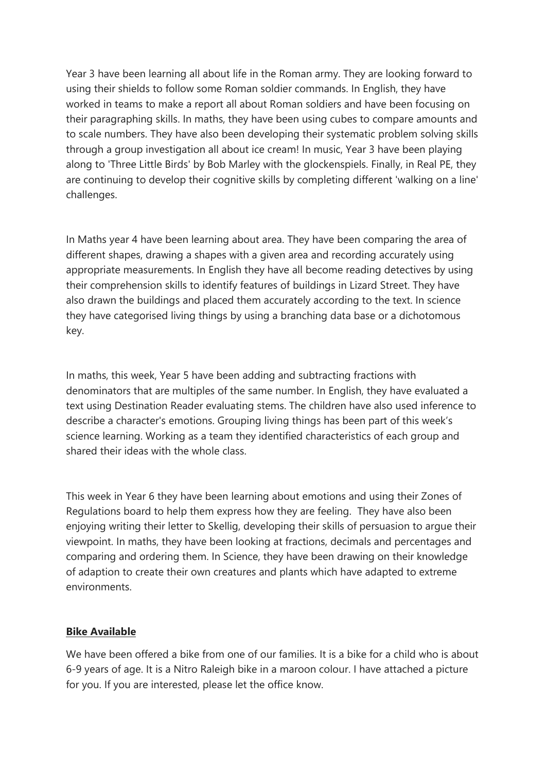Year 3 have been learning all about life in the Roman army. They are looking forward to using their shields to follow some Roman soldier commands. In English, they have worked in teams to make a report all about Roman soldiers and have been focusing on their paragraphing skills. In maths, they have been using cubes to compare amounts and to scale numbers. They have also been developing their systematic problem solving skills through a group investigation all about ice cream! In music, Year 3 have been playing along to 'Three Little Birds' by Bob Marley with the glockenspiels. Finally, in Real PE, they are continuing to develop their cognitive skills by completing different 'walking on a line' challenges.

In Maths year 4 have been learning about area. They have been comparing the area of different shapes, drawing a shapes with a given area and recording accurately using appropriate measurements. In English they have all become reading detectives by using their comprehension skills to identify features of buildings in Lizard Street. They have also drawn the buildings and placed them accurately according to the text. In science they have categorised living things by using a branching data base or a dichotomous key.

In maths, this week, Year 5 have been adding and subtracting fractions with denominators that are multiples of the same number. In English, they have evaluated a text using Destination Reader evaluating stems. The children have also used inference to describe a character's emotions. Grouping living things has been part of this week's science learning. Working as a team they identified characteristics of each group and shared their ideas with the whole class.

This week in Year 6 they have been learning about emotions and using their Zones of Regulations board to help them express how they are feeling. They have also been enjoying writing their letter to Skellig, developing their skills of persuasion to argue their viewpoint. In maths, they have been looking at fractions, decimals and percentages and comparing and ordering them. In Science, they have been drawing on their knowledge of adaption to create their own creatures and plants which have adapted to extreme environments.

## **Bike Available**

We have been offered a bike from one of our families. It is a bike for a child who is about 6-9 years of age. It is a Nitro Raleigh bike in a maroon colour. I have attached a picture for you. If you are interested, please let the office know.